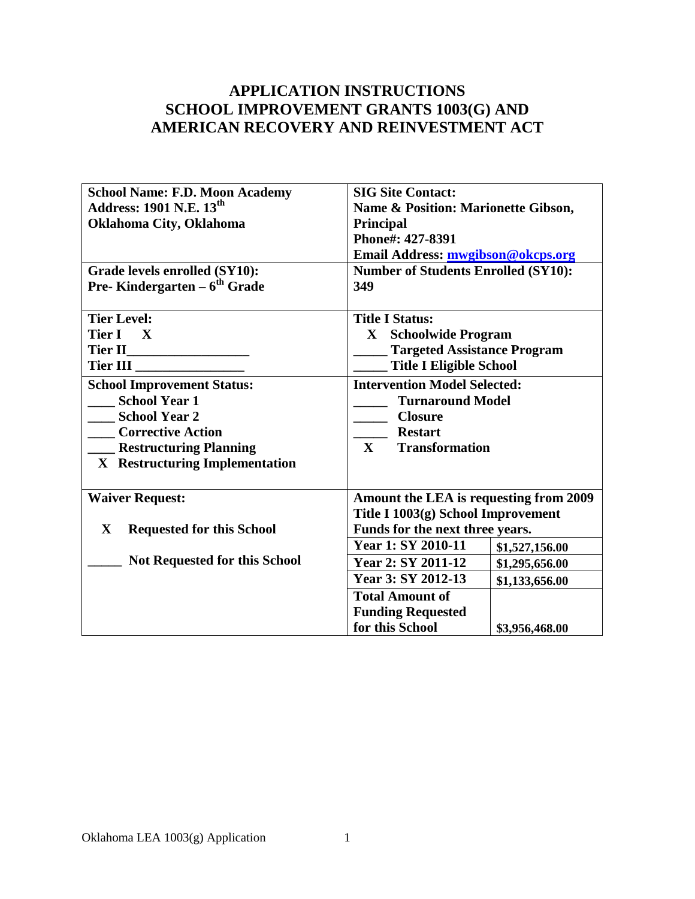# **APPLICATION INSTRUCTIONS SCHOOL IMPROVEMENT GRANTS 1003(G) AND AMERICAN RECOVERY AND REINVESTMENT ACT**

| <b>School Name: F.D. Moon Academy</b><br>Address: 1901 N.E. $13^{\text{th}}$ | <b>SIG Site Contact:</b><br>Name & Position: Marionette Gibson, |  |  |
|------------------------------------------------------------------------------|-----------------------------------------------------------------|--|--|
| Oklahoma City, Oklahoma                                                      | <b>Principal</b><br>Phone#: 427-8391                            |  |  |
|                                                                              | Email Address: mwgibson@okcps.org                               |  |  |
| Grade levels enrolled (SY10):                                                | <b>Number of Students Enrolled (SY10):</b>                      |  |  |
| <b>Pre-Kindergarten – <math>6th</math> Grade</b>                             | 349                                                             |  |  |
|                                                                              |                                                                 |  |  |
| <b>Tier Level:</b>                                                           | <b>Title I Status:</b>                                          |  |  |
| Tier I X                                                                     | X Schoolwide Program                                            |  |  |
|                                                                              | <b>Targeted Assistance Program</b>                              |  |  |
| Tier III                                                                     | <b>Title I Eligible School</b>                                  |  |  |
| <b>School Improvement Status:</b>                                            | <b>Intervention Model Selected:</b>                             |  |  |
| <b>School Year 1</b>                                                         | <b>Turnaround Model</b>                                         |  |  |
| <b>School Year 2</b>                                                         | <b>Closure</b>                                                  |  |  |
| <b>Corrective Action</b>                                                     | <b>Restart</b>                                                  |  |  |
| <b>Restructuring Planning</b>                                                | $\mathbf{X}$<br><b>Transformation</b>                           |  |  |
| X Restructuring Implementation                                               |                                                                 |  |  |
|                                                                              |                                                                 |  |  |
| <b>Waiver Request:</b>                                                       | Amount the LEA is requesting from 2009                          |  |  |
|                                                                              | Title I 1003(g) School Improvement                              |  |  |
| $\mathbf{X}$<br><b>Requested for this School</b>                             | Funds for the next three years.                                 |  |  |
|                                                                              | Year 1: SY 2010-11<br>\$1,527,156.00                            |  |  |
| <b>Not Requested for this School</b>                                         | Year 2: SY 2011-12<br>\$1,295,656.00                            |  |  |
|                                                                              | Year 3: SY 2012-13<br>\$1,133,656.00                            |  |  |
|                                                                              | <b>Total Amount of</b>                                          |  |  |
|                                                                              | <b>Funding Requested</b>                                        |  |  |
|                                                                              | for this School<br>\$3,956,468.00                               |  |  |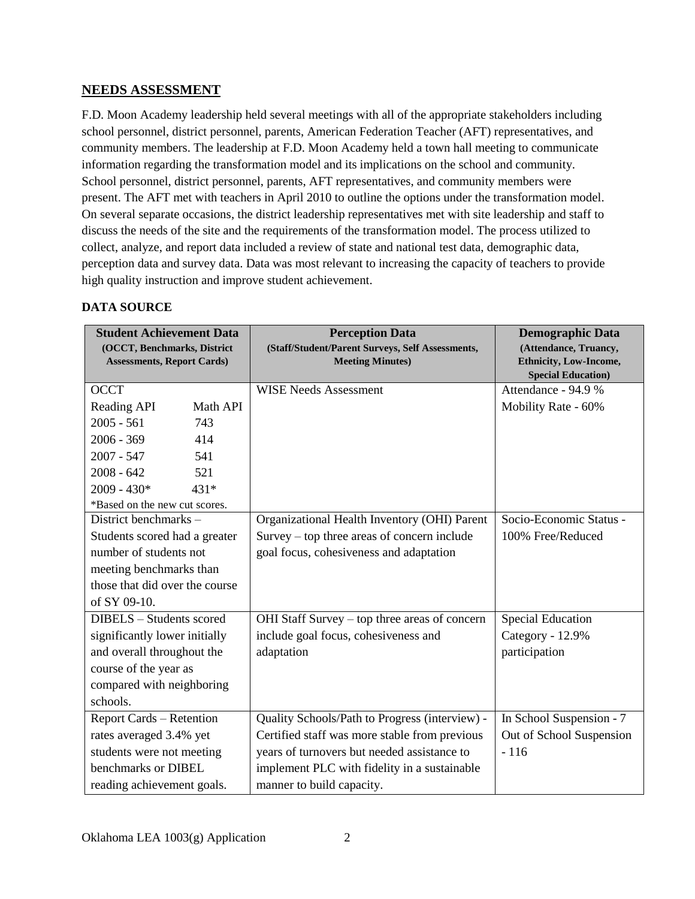#### **NEEDS ASSESSMENT**

F.D. Moon Academy leadership held several meetings with all of the appropriate stakeholders including school personnel, district personnel, parents, American Federation Teacher (AFT) representatives, and community members. The leadership at F.D. Moon Academy held a town hall meeting to communicate information regarding the transformation model and its implications on the school and community. School personnel, district personnel, parents, AFT representatives, and community members were present. The AFT met with teachers in April 2010 to outline the options under the transformation model. On several separate occasions, the district leadership representatives met with site leadership and staff to discuss the needs of the site and the requirements of the transformation model. The process utilized to collect, analyze, and report data included a review of state and national test data, demographic data, perception data and survey data. Data was most relevant to increasing the capacity of teachers to provide high quality instruction and improve student achievement.

#### **DATA SOURCE**

| <b>Student Achievement Data</b><br>(OCCT, Benchmarks, District<br><b>Assessments, Report Cards)</b> |          | <b>Perception Data</b><br>(Staff/Student/Parent Surveys, Self Assessments,<br><b>Meeting Minutes)</b> | <b>Demographic Data</b><br>(Attendance, Truancy,<br><b>Ethnicity, Low-Income,</b><br><b>Special Education</b> ) |
|-----------------------------------------------------------------------------------------------------|----------|-------------------------------------------------------------------------------------------------------|-----------------------------------------------------------------------------------------------------------------|
| <b>OCCT</b>                                                                                         |          | <b>WISE Needs Assessment</b>                                                                          | Attendance - 94.9 %                                                                                             |
| Reading API                                                                                         | Math API |                                                                                                       | Mobility Rate - 60%                                                                                             |
| $2005 - 561$                                                                                        | 743      |                                                                                                       |                                                                                                                 |
| $2006 - 369$                                                                                        | 414      |                                                                                                       |                                                                                                                 |
| $2007 - 547$                                                                                        | 541      |                                                                                                       |                                                                                                                 |
| $2008 - 642$                                                                                        | 521      |                                                                                                       |                                                                                                                 |
| $2009 - 430*$                                                                                       | $431*$   |                                                                                                       |                                                                                                                 |
| *Based on the new cut scores.                                                                       |          |                                                                                                       |                                                                                                                 |
| District benchmarks -                                                                               |          | Organizational Health Inventory (OHI) Parent                                                          | Socio-Economic Status -                                                                                         |
| Students scored had a greater                                                                       |          | Survey – top three areas of concern include                                                           | 100% Free/Reduced                                                                                               |
| number of students not                                                                              |          | goal focus, cohesiveness and adaptation                                                               |                                                                                                                 |
| meeting benchmarks than                                                                             |          |                                                                                                       |                                                                                                                 |
| those that did over the course                                                                      |          |                                                                                                       |                                                                                                                 |
| of SY 09-10.                                                                                        |          |                                                                                                       |                                                                                                                 |
| DIBELS - Students scored                                                                            |          | OHI Staff Survey – top three areas of concern                                                         | <b>Special Education</b>                                                                                        |
| significantly lower initially                                                                       |          | include goal focus, cohesiveness and                                                                  | Category - 12.9%                                                                                                |
| and overall throughout the                                                                          |          | adaptation                                                                                            | participation                                                                                                   |
| course of the year as                                                                               |          |                                                                                                       |                                                                                                                 |
| compared with neighboring                                                                           |          |                                                                                                       |                                                                                                                 |
| schools.                                                                                            |          |                                                                                                       |                                                                                                                 |
| <b>Report Cards – Retention</b>                                                                     |          | Quality Schools/Path to Progress (interview) -                                                        | In School Suspension - 7                                                                                        |
| rates averaged 3.4% yet                                                                             |          | Certified staff was more stable from previous                                                         | Out of School Suspension                                                                                        |
| students were not meeting                                                                           |          | years of turnovers but needed assistance to                                                           | $-116$                                                                                                          |
| benchmarks or DIBEL                                                                                 |          | implement PLC with fidelity in a sustainable                                                          |                                                                                                                 |
| reading achievement goals.                                                                          |          | manner to build capacity.                                                                             |                                                                                                                 |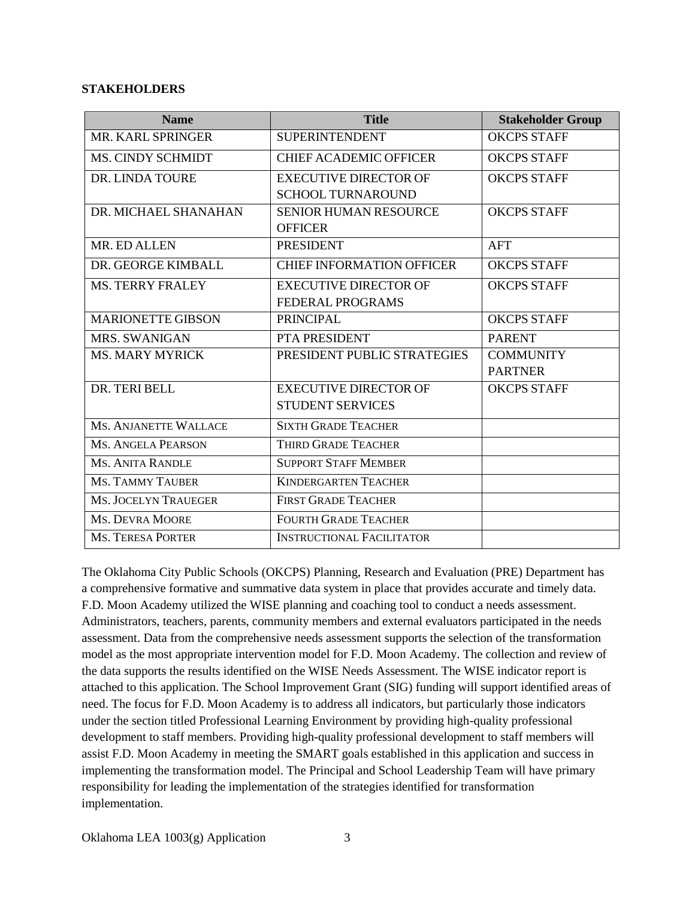#### **STAKEHOLDERS**

| <b>Name</b>                 | <b>Title</b>                     | <b>Stakeholder Group</b> |
|-----------------------------|----------------------------------|--------------------------|
| MR. KARL SPRINGER           | <b>SUPERINTENDENT</b>            | <b>OKCPS STAFF</b>       |
| <b>MS. CINDY SCHMIDT</b>    | <b>CHIEF ACADEMIC OFFICER</b>    | <b>OKCPS STAFF</b>       |
| DR. LINDA TOURE             | <b>EXECUTIVE DIRECTOR OF</b>     | <b>OKCPS STAFF</b>       |
|                             | <b>SCHOOL TURNAROUND</b>         |                          |
| DR. MICHAEL SHANAHAN        | <b>SENIOR HUMAN RESOURCE</b>     | <b>OKCPS STAFF</b>       |
|                             | <b>OFFICER</b>                   |                          |
| MR. ED ALLEN                | <b>PRESIDENT</b>                 | <b>AFT</b>               |
| DR. GEORGE KIMBALL          | <b>CHIEF INFORMATION OFFICER</b> | <b>OKCPS STAFF</b>       |
| <b>MS. TERRY FRALEY</b>     | <b>EXECUTIVE DIRECTOR OF</b>     | <b>OKCPS STAFF</b>       |
|                             | <b>FEDERAL PROGRAMS</b>          |                          |
| <b>MARIONETTE GIBSON</b>    | <b>PRINCIPAL</b>                 | <b>OKCPS STAFF</b>       |
| MRS. SWANIGAN               | PTA PRESIDENT                    | <b>PARENT</b>            |
| <b>MS. MARY MYRICK</b>      | PRESIDENT PUBLIC STRATEGIES      | <b>COMMUNITY</b>         |
|                             |                                  | <b>PARTNER</b>           |
| DR. TERI BELL               | <b>EXECUTIVE DIRECTOR OF</b>     | <b>OKCPS STAFF</b>       |
|                             | <b>STUDENT SERVICES</b>          |                          |
| MS. ANJANETTE WALLACE       | <b>SIXTH GRADE TEACHER</b>       |                          |
| <b>MS. ANGELA PEARSON</b>   | THIRD GRADE TEACHER              |                          |
| <b>MS. ANITA RANDLE</b>     | <b>SUPPORT STAFF MEMBER</b>      |                          |
| <b>MS. TAMMY TAUBER</b>     | <b>KINDERGARTEN TEACHER</b>      |                          |
| <b>MS. JOCELYN TRAUEGER</b> | <b>FIRST GRADE TEACHER</b>       |                          |
| <b>MS. DEVRA MOORE</b>      | <b>FOURTH GRADE TEACHER</b>      |                          |
| <b>MS. TERESA PORTER</b>    | <b>INSTRUCTIONAL FACILITATOR</b> |                          |

The Oklahoma City Public Schools (OKCPS) Planning, Research and Evaluation (PRE) Department has a comprehensive formative and summative data system in place that provides accurate and timely data. F.D. Moon Academy utilized the WISE planning and coaching tool to conduct a needs assessment. Administrators, teachers, parents, community members and external evaluators participated in the needs assessment. Data from the comprehensive needs assessment supports the selection of the transformation model as the most appropriate intervention model for F.D. Moon Academy. The collection and review of the data supports the results identified on the WISE Needs Assessment. The WISE indicator report is attached to this application. The School Improvement Grant (SIG) funding will support identified areas of need. The focus for F.D. Moon Academy is to address all indicators, but particularly those indicators under the section titled Professional Learning Environment by providing high-quality professional development to staff members. Providing high-quality professional development to staff members will assist F.D. Moon Academy in meeting the SMART goals established in this application and success in implementing the transformation model. The Principal and School Leadership Team will have primary responsibility for leading the implementation of the strategies identified for transformation implementation.

Oklahoma LEA 1003(g) Application 3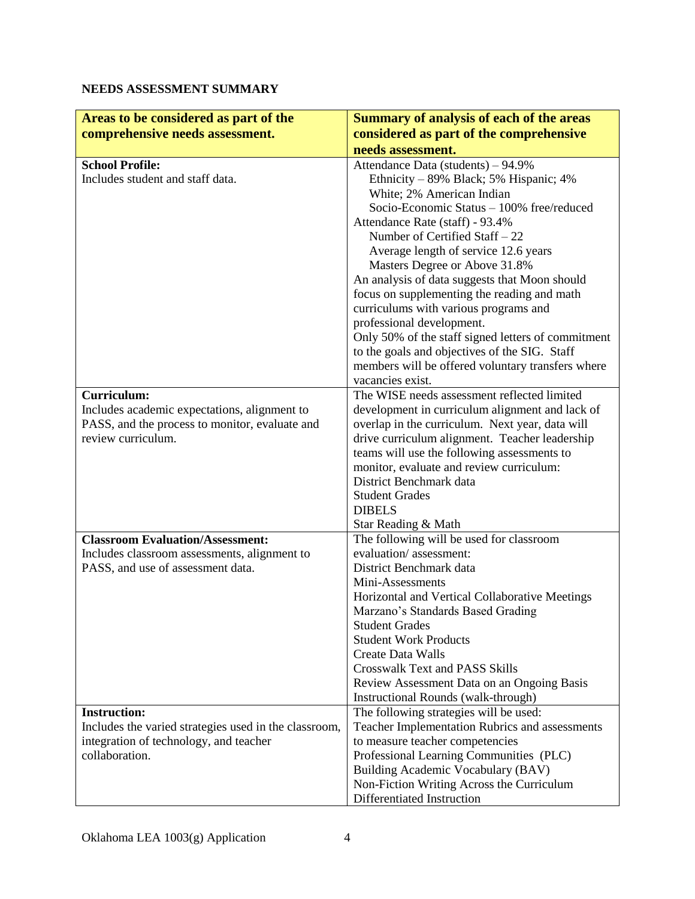### **NEEDS ASSESSMENT SUMMARY**

| Areas to be considered as part of the                                                          | <b>Summary of analysis of each of the areas</b>                                                    |
|------------------------------------------------------------------------------------------------|----------------------------------------------------------------------------------------------------|
| comprehensive needs assessment.                                                                | considered as part of the comprehensive                                                            |
|                                                                                                | needs assessment.                                                                                  |
| <b>School Profile:</b>                                                                         | Attendance Data (students) - 94.9%                                                                 |
| Includes student and staff data.                                                               | Ethnicity – 89% Black; 5% Hispanic; 4%                                                             |
|                                                                                                | White; 2% American Indian                                                                          |
|                                                                                                | Socio-Economic Status - 100% free/reduced                                                          |
|                                                                                                | Attendance Rate (staff) - 93.4%                                                                    |
|                                                                                                | Number of Certified Staff - 22                                                                     |
|                                                                                                | Average length of service 12.6 years                                                               |
|                                                                                                | Masters Degree or Above 31.8%                                                                      |
|                                                                                                | An analysis of data suggests that Moon should                                                      |
|                                                                                                | focus on supplementing the reading and math                                                        |
|                                                                                                | curriculums with various programs and                                                              |
|                                                                                                | professional development.                                                                          |
|                                                                                                | Only 50% of the staff signed letters of commitment                                                 |
|                                                                                                | to the goals and objectives of the SIG. Staff                                                      |
|                                                                                                | members will be offered voluntary transfers where                                                  |
|                                                                                                | vacancies exist.<br>The WISE needs assessment reflected limited                                    |
| <b>Curriculum:</b>                                                                             |                                                                                                    |
| Includes academic expectations, alignment to<br>PASS, and the process to monitor, evaluate and | development in curriculum alignment and lack of<br>overlap in the curriculum. Next year, data will |
| review curriculum.                                                                             | drive curriculum alignment. Teacher leadership                                                     |
|                                                                                                | teams will use the following assessments to                                                        |
|                                                                                                | monitor, evaluate and review curriculum:                                                           |
|                                                                                                | District Benchmark data                                                                            |
|                                                                                                | <b>Student Grades</b>                                                                              |
|                                                                                                | <b>DIBELS</b>                                                                                      |
|                                                                                                | Star Reading & Math                                                                                |
| <b>Classroom Evaluation/Assessment:</b>                                                        | The following will be used for classroom                                                           |
| Includes classroom assessments, alignment to                                                   | evaluation/assessment:                                                                             |
| PASS, and use of assessment data.                                                              | District Benchmark data                                                                            |
|                                                                                                | Mini-Assessments                                                                                   |
|                                                                                                | Horizontal and Vertical Collaborative Meetings<br>Marzano's Standards Based Grading                |
|                                                                                                | <b>Student Grades</b>                                                                              |
|                                                                                                | <b>Student Work Products</b>                                                                       |
|                                                                                                | Create Data Walls                                                                                  |
|                                                                                                | <b>Crosswalk Text and PASS Skills</b>                                                              |
|                                                                                                | Review Assessment Data on an Ongoing Basis                                                         |
|                                                                                                | Instructional Rounds (walk-through)                                                                |
| <b>Instruction:</b>                                                                            | The following strategies will be used:                                                             |
| Includes the varied strategies used in the classroom,                                          | Teacher Implementation Rubrics and assessments                                                     |
| integration of technology, and teacher                                                         | to measure teacher competencies                                                                    |
| collaboration.                                                                                 | Professional Learning Communities (PLC)                                                            |
|                                                                                                | Building Academic Vocabulary (BAV)                                                                 |
|                                                                                                | Non-Fiction Writing Across the Curriculum<br>Differentiated Instruction                            |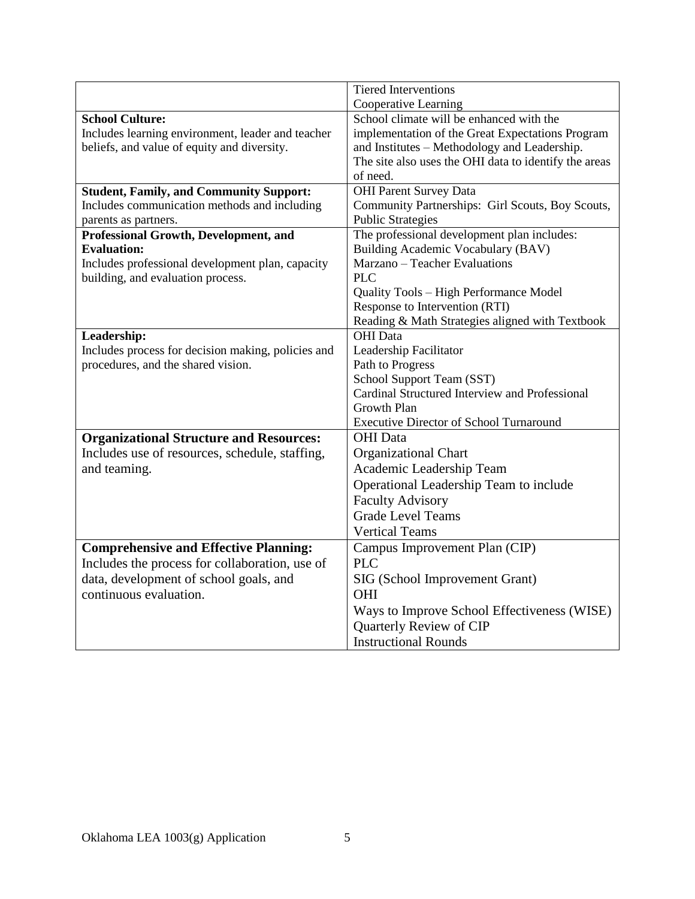|                                                    | <b>Tiered Interventions</b>                           |
|----------------------------------------------------|-------------------------------------------------------|
|                                                    | Cooperative Learning                                  |
| <b>School Culture:</b>                             | School climate will be enhanced with the              |
| Includes learning environment, leader and teacher  | implementation of the Great Expectations Program      |
| beliefs, and value of equity and diversity.        | and Institutes - Methodology and Leadership.          |
|                                                    | The site also uses the OHI data to identify the areas |
|                                                    | of need.                                              |
| <b>Student, Family, and Community Support:</b>     | <b>OHI Parent Survey Data</b>                         |
| Includes communication methods and including       | Community Partnerships: Girl Scouts, Boy Scouts,      |
| parents as partners.                               | <b>Public Strategies</b>                              |
| Professional Growth, Development, and              | The professional development plan includes:           |
| <b>Evaluation:</b>                                 | Building Academic Vocabulary (BAV)                    |
| Includes professional development plan, capacity   | Marzano - Teacher Evaluations                         |
| building, and evaluation process.                  | <b>PLC</b>                                            |
|                                                    | Quality Tools - High Performance Model                |
|                                                    | Response to Intervention (RTI)                        |
|                                                    | Reading & Math Strategies aligned with Textbook       |
| Leadership:                                        | <b>OHI</b> Data                                       |
| Includes process for decision making, policies and | Leadership Facilitator                                |
| procedures, and the shared vision.                 | Path to Progress                                      |
|                                                    | School Support Team (SST)                             |
|                                                    | Cardinal Structured Interview and Professional        |
|                                                    | <b>Growth Plan</b>                                    |
|                                                    | <b>Executive Director of School Turnaround</b>        |
| <b>Organizational Structure and Resources:</b>     | <b>OHI</b> Data                                       |
| Includes use of resources, schedule, staffing,     | Organizational Chart                                  |
| and teaming.                                       | Academic Leadership Team                              |
|                                                    | Operational Leadership Team to include                |
|                                                    | <b>Faculty Advisory</b>                               |
|                                                    | <b>Grade Level Teams</b>                              |
|                                                    | <b>Vertical Teams</b>                                 |
| <b>Comprehensive and Effective Planning:</b>       | Campus Improvement Plan (CIP)                         |
| Includes the process for collaboration, use of     | <b>PLC</b>                                            |
| data, development of school goals, and             | SIG (School Improvement Grant)                        |
| continuous evaluation.                             | OHI                                                   |
|                                                    | Ways to Improve School Effectiveness (WISE)           |
|                                                    | Quarterly Review of CIP                               |
|                                                    | <b>Instructional Rounds</b>                           |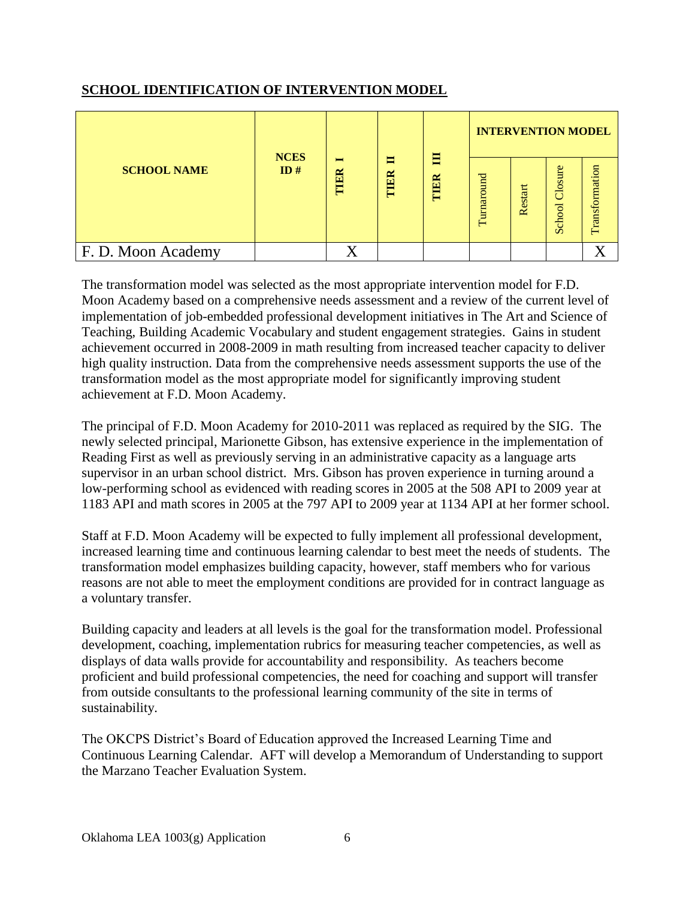## **SCHOOL IDENTIFICATION OF INTERVENTION MODEL**

|                    | <b>NCES</b> |                        | 目<br>ᆸ  | <b>INTERVENTION MODEL</b> |            |         |                   |                |
|--------------------|-------------|------------------------|---------|---------------------------|------------|---------|-------------------|----------------|
| <b>SCHOOL NAME</b> | ID#         | $\blacksquare$<br>TIER | ER<br>E | TIER                      | Turnaround | Restart | Closure<br>School | Transformation |
| F. D. Moon Academy |             |                        |         |                           |            |         |                   | T7             |

The transformation model was selected as the most appropriate intervention model for F.D. Moon Academy based on a comprehensive needs assessment and a review of the current level of implementation of job-embedded professional development initiatives in The Art and Science of Teaching, Building Academic Vocabulary and student engagement strategies. Gains in student achievement occurred in 2008-2009 in math resulting from increased teacher capacity to deliver high quality instruction. Data from the comprehensive needs assessment supports the use of the transformation model as the most appropriate model for significantly improving student achievement at F.D. Moon Academy.

The principal of F.D. Moon Academy for 2010-2011 was replaced as required by the SIG. The newly selected principal, Marionette Gibson, has extensive experience in the implementation of Reading First as well as previously serving in an administrative capacity as a language arts supervisor in an urban school district. Mrs. Gibson has proven experience in turning around a low-performing school as evidenced with reading scores in 2005 at the 508 API to 2009 year at 1183 API and math scores in 2005 at the 797 API to 2009 year at 1134 API at her former school.

Staff at F.D. Moon Academy will be expected to fully implement all professional development, increased learning time and continuous learning calendar to best meet the needs of students. The transformation model emphasizes building capacity, however, staff members who for various reasons are not able to meet the employment conditions are provided for in contract language as a voluntary transfer.

Building capacity and leaders at all levels is the goal for the transformation model. Professional development, coaching, implementation rubrics for measuring teacher competencies, as well as displays of data walls provide for accountability and responsibility. As teachers become proficient and build professional competencies, the need for coaching and support will transfer from outside consultants to the professional learning community of the site in terms of sustainability.

The OKCPS District's Board of Education approved the Increased Learning Time and Continuous Learning Calendar. AFT will develop a Memorandum of Understanding to support the Marzano Teacher Evaluation System.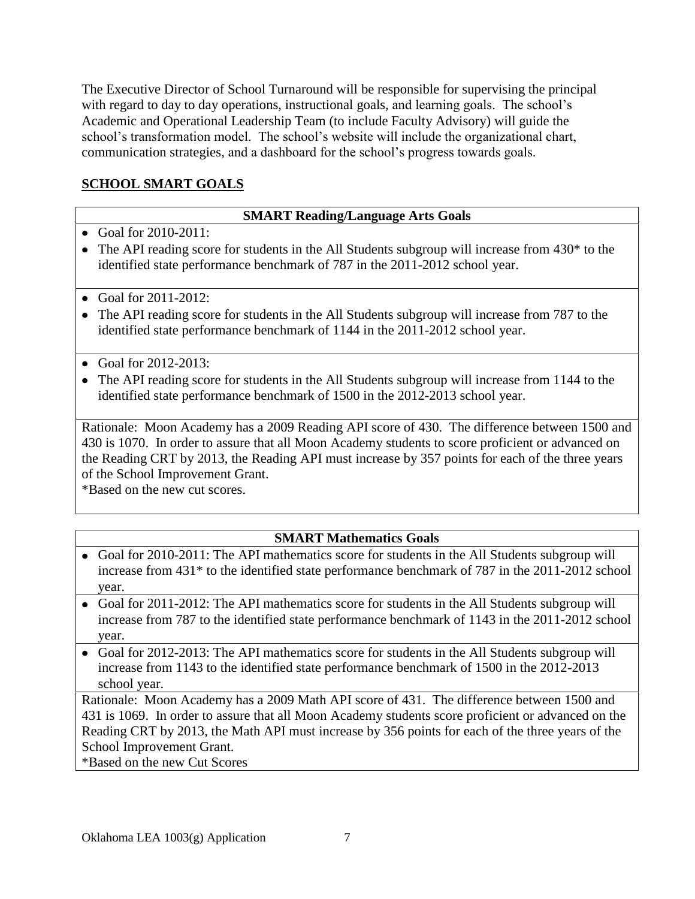The Executive Director of School Turnaround will be responsible for supervising the principal with regard to day to day operations, instructional goals, and learning goals. The school's Academic and Operational Leadership Team (to include Faculty Advisory) will guide the school's transformation model. The school's website will include the organizational chart, communication strategies, and a dashboard for the school's progress towards goals.

# **SCHOOL SMART GOALS**

## **SMART Reading/Language Arts Goals**

- Goal for 2010-2011:
- The API reading score for students in the All Students subgroup will increase from 430<sup>\*</sup> to the identified state performance benchmark of 787 in the 2011-2012 school year.
- Goal for  $2011 2012$ :
- The API reading score for students in the All Students subgroup will increase from 787 to the identified state performance benchmark of 1144 in the 2011-2012 school year.
- Goal for  $2012 2013$ :
- The API reading score for students in the All Students subgroup will increase from 1144 to the identified state performance benchmark of 1500 in the 2012-2013 school year.

Rationale: Moon Academy has a 2009 Reading API score of 430. The difference between 1500 and 430 is 1070. In order to assure that all Moon Academy students to score proficient or advanced on the Reading CRT by 2013, the Reading API must increase by 357 points for each of the three years of the School Improvement Grant.

\*Based on the new cut scores.

## **SMART Mathematics Goals**

- Goal for 2010-2011: The API mathematics score for students in the All Students subgroup will increase from 431\* to the identified state performance benchmark of 787 in the 2011-2012 school year.
- Goal for 2011-2012: The API mathematics score for students in the All Students subgroup will increase from 787 to the identified state performance benchmark of 1143 in the 2011-2012 school year.
- Goal for 2012-2013: The API mathematics score for students in the All Students subgroup will increase from 1143 to the identified state performance benchmark of 1500 in the 2012-2013 school year.

Rationale: Moon Academy has a 2009 Math API score of 431. The difference between 1500 and 431 is 1069. In order to assure that all Moon Academy students score proficient or advanced on the Reading CRT by 2013, the Math API must increase by 356 points for each of the three years of the School Improvement Grant.

\*Based on the new Cut Scores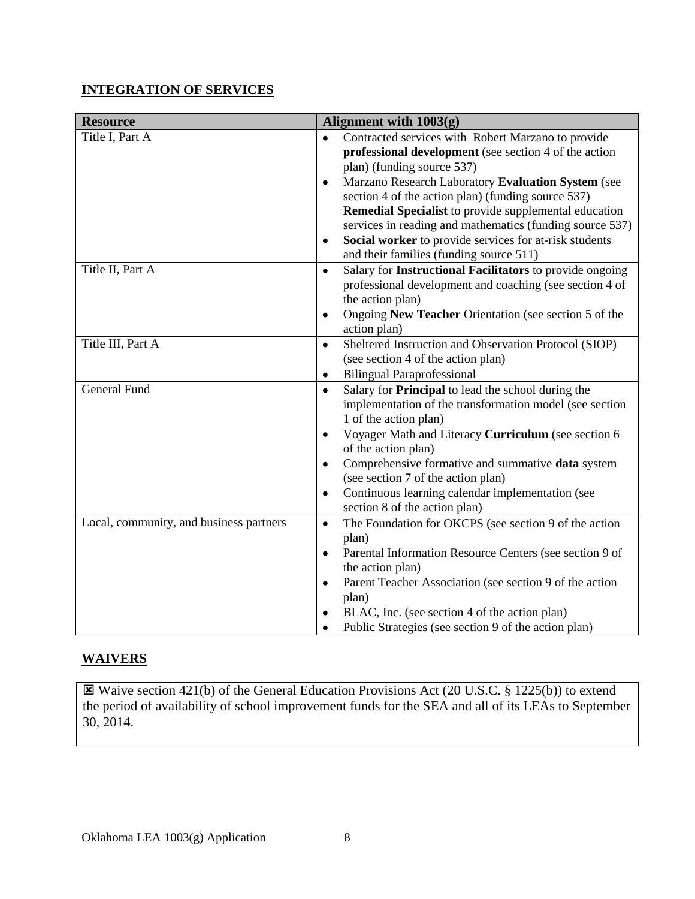## **INTEGRATION OF SERVICES**

| <b>Resource</b>                         | Alignment with $1003(g)$                                                        |
|-----------------------------------------|---------------------------------------------------------------------------------|
| Title I, Part A                         | Contracted services with Robert Marzano to provide<br>$\bullet$                 |
|                                         | professional development (see section 4 of the action                           |
|                                         | plan) (funding source 537)                                                      |
|                                         | Marzano Research Laboratory Evaluation System (see<br>٠                         |
|                                         | section 4 of the action plan) (funding source 537)                              |
|                                         | Remedial Specialist to provide supplemental education                           |
|                                         | services in reading and mathematics (funding source 537)                        |
|                                         | Social worker to provide services for at-risk students<br>٠                     |
|                                         | and their families (funding source 511)                                         |
| Title II, Part A                        | Salary for Instructional Facilitators to provide ongoing<br>$\bullet$           |
|                                         | professional development and coaching (see section 4 of                         |
|                                         | the action plan)                                                                |
|                                         | Ongoing New Teacher Orientation (see section 5 of the<br>$\bullet$              |
|                                         | action plan)                                                                    |
| Title III, Part A                       | Sheltered Instruction and Observation Protocol (SIOP)<br>$\bullet$              |
|                                         | (see section 4 of the action plan)                                              |
|                                         | <b>Bilingual Paraprofessional</b><br>$\bullet$                                  |
| <b>General Fund</b>                     | Salary for Principal to lead the school during the<br>$\bullet$                 |
|                                         | implementation of the transformation model (see section                         |
|                                         | 1 of the action plan)                                                           |
|                                         | Voyager Math and Literacy Curriculum (see section 6<br>٠<br>of the action plan) |
|                                         | Comprehensive formative and summative data system<br>$\bullet$                  |
|                                         | (see section 7 of the action plan)                                              |
|                                         | Continuous learning calendar implementation (see<br>٠                           |
|                                         | section 8 of the action plan)                                                   |
| Local, community, and business partners | The Foundation for OKCPS (see section 9 of the action<br>$\bullet$              |
|                                         | plan)                                                                           |
|                                         | Parental Information Resource Centers (see section 9 of<br>٠                    |
|                                         | the action plan)                                                                |
|                                         | Parent Teacher Association (see section 9 of the action<br>$\bullet$            |
|                                         | plan)                                                                           |
|                                         | BLAC, Inc. (see section 4 of the action plan)<br>٠                              |
|                                         | Public Strategies (see section 9 of the action plan)<br>٠                       |

# **WAIVERS**

 Waive section 421(b) of the General Education Provisions Act (20 U.S.C. § 1225(b)) to extend the period of availability of school improvement funds for the SEA and all of its LEAs to September 30, 2014.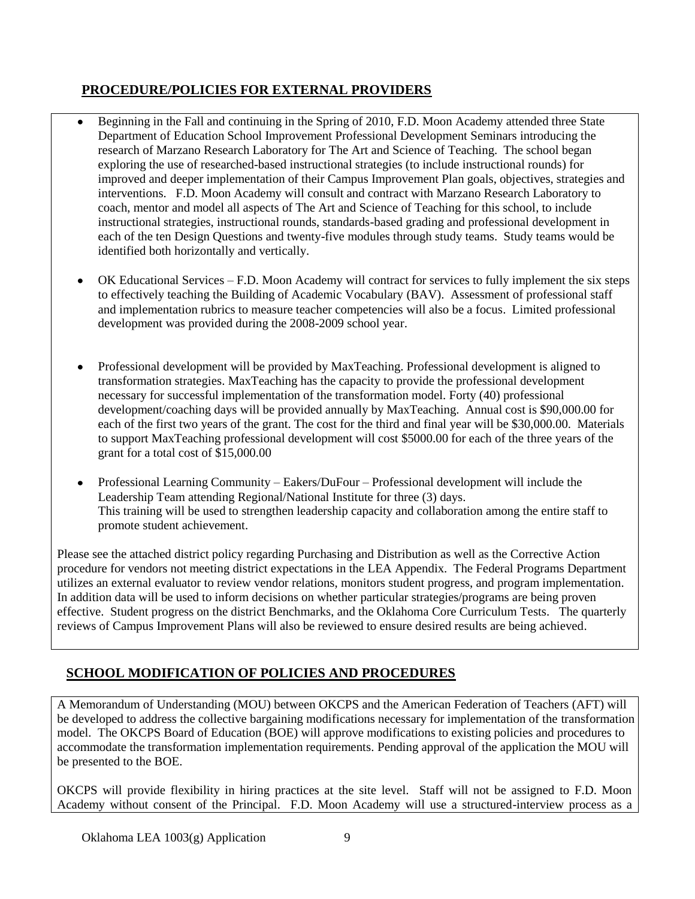## **PROCEDURE/POLICIES FOR EXTERNAL PROVIDERS**

- Beginning in the Fall and continuing in the Spring of 2010, F.D. Moon Academy attended three State  $\bullet$ Department of Education School Improvement Professional Development Seminars introducing the research of Marzano Research Laboratory for The Art and Science of Teaching. The school began exploring the use of researched-based instructional strategies (to include instructional rounds) for improved and deeper implementation of their Campus Improvement Plan goals, objectives, strategies and interventions. F.D. Moon Academy will consult and contract with Marzano Research Laboratory to coach, mentor and model all aspects of The Art and Science of Teaching for this school, to include instructional strategies, instructional rounds, standards-based grading and professional development in each of the ten Design Questions and twenty-five modules through study teams. Study teams would be identified both horizontally and vertically.
- $\bullet$ OK Educational Services – F.D. Moon Academy will contract for services to fully implement the six steps to effectively teaching the Building of Academic Vocabulary (BAV). Assessment of professional staff and implementation rubrics to measure teacher competencies will also be a focus. Limited professional development was provided during the 2008-2009 school year.
- $\bullet$ Professional development will be provided by MaxTeaching. Professional development is aligned to transformation strategies. MaxTeaching has the capacity to provide the professional development necessary for successful implementation of the transformation model. Forty (40) professional development/coaching days will be provided annually by MaxTeaching. Annual cost is \$90,000.00 for each of the first two years of the grant. The cost for the third and final year will be \$30,000.00. Materials to support MaxTeaching professional development will cost \$5000.00 for each of the three years of the grant for a total cost of \$15,000.00
- Professional Learning Community Eakers/DuFour Professional development will include the Leadership Team attending Regional/National Institute for three (3) days. This training will be used to strengthen leadership capacity and collaboration among the entire staff to promote student achievement.

Please see the attached district policy regarding Purchasing and Distribution as well as the Corrective Action procedure for vendors not meeting district expectations in the LEA Appendix. The Federal Programs Department utilizes an external evaluator to review vendor relations, monitors student progress, and program implementation. In addition data will be used to inform decisions on whether particular strategies/programs are being proven effective. Student progress on the district Benchmarks, and the Oklahoma Core Curriculum Tests. The quarterly reviews of Campus Improvement Plans will also be reviewed to ensure desired results are being achieved.

# **SCHOOL MODIFICATION OF POLICIES AND PROCEDURES**

A Memorandum of Understanding (MOU) between OKCPS and the American Federation of Teachers (AFT) will be developed to address the collective bargaining modifications necessary for implementation of the transformation model. The OKCPS Board of Education (BOE) will approve modifications to existing policies and procedures to accommodate the transformation implementation requirements. Pending approval of the application the MOU will be presented to the BOE.

OKCPS will provide flexibility in hiring practices at the site level. Staff will not be assigned to F.D. Moon Academy without consent of the Principal. F.D. Moon Academy will use a structured-interview process as a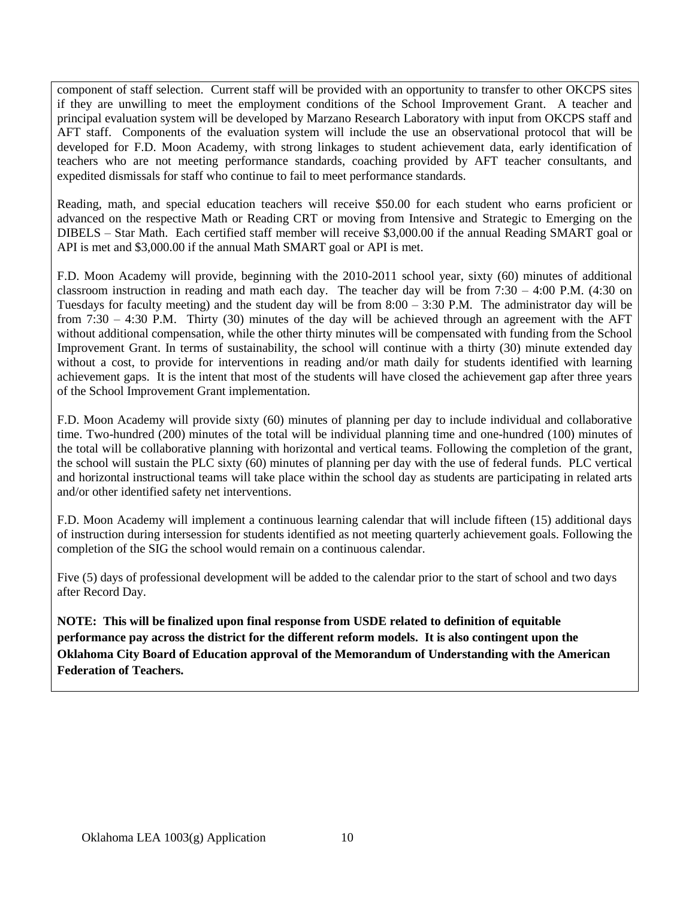component of staff selection. Current staff will be provided with an opportunity to transfer to other OKCPS sites if they are unwilling to meet the employment conditions of the School Improvement Grant. A teacher and principal evaluation system will be developed by Marzano Research Laboratory with input from OKCPS staff and AFT staff. Components of the evaluation system will include the use an observational protocol that will be developed for F.D. Moon Academy, with strong linkages to student achievement data, early identification of teachers who are not meeting performance standards, coaching provided by AFT teacher consultants, and expedited dismissals for staff who continue to fail to meet performance standards.

Reading, math, and special education teachers will receive \$50.00 for each student who earns proficient or advanced on the respective Math or Reading CRT or moving from Intensive and Strategic to Emerging on the DIBELS – Star Math. Each certified staff member will receive \$3,000.00 if the annual Reading SMART goal or API is met and \$3,000.00 if the annual Math SMART goal or API is met.

F.D. Moon Academy will provide, beginning with the 2010-2011 school year, sixty (60) minutes of additional classroom instruction in reading and math each day. The teacher day will be from 7:30 – 4:00 P.M. (4:30 on Tuesdays for faculty meeting) and the student day will be from 8:00 – 3:30 P.M. The administrator day will be from 7:30 – 4:30 P.M. Thirty (30) minutes of the day will be achieved through an agreement with the AFT without additional compensation, while the other thirty minutes will be compensated with funding from the School Improvement Grant. In terms of sustainability, the school will continue with a thirty (30) minute extended day without a cost, to provide for interventions in reading and/or math daily for students identified with learning achievement gaps. It is the intent that most of the students will have closed the achievement gap after three years of the School Improvement Grant implementation.

F.D. Moon Academy will provide sixty (60) minutes of planning per day to include individual and collaborative time. Two-hundred (200) minutes of the total will be individual planning time and one-hundred (100) minutes of the total will be collaborative planning with horizontal and vertical teams. Following the completion of the grant, the school will sustain the PLC sixty (60) minutes of planning per day with the use of federal funds. PLC vertical and horizontal instructional teams will take place within the school day as students are participating in related arts and/or other identified safety net interventions.

F.D. Moon Academy will implement a continuous learning calendar that will include fifteen (15) additional days of instruction during intersession for students identified as not meeting quarterly achievement goals. Following the completion of the SIG the school would remain on a continuous calendar.

Five (5) days of professional development will be added to the calendar prior to the start of school and two days after Record Day.

**NOTE: This will be finalized upon final response from USDE related to definition of equitable performance pay across the district for the different reform models. It is also contingent upon the Oklahoma City Board of Education approval of the Memorandum of Understanding with the American Federation of Teachers.**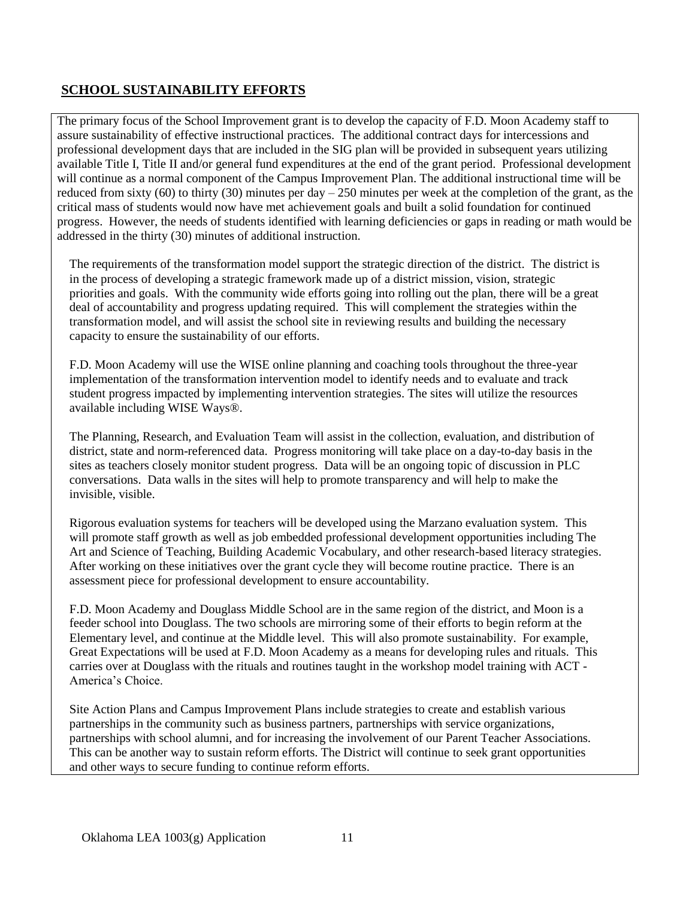### **SCHOOL SUSTAINABILITY EFFORTS**

The primary focus of the School Improvement grant is to develop the capacity of F.D. Moon Academy staff to assure sustainability of effective instructional practices. The additional contract days for intercessions and professional development days that are included in the SIG plan will be provided in subsequent years utilizing available Title I, Title II and/or general fund expenditures at the end of the grant period. Professional development will continue as a normal component of the Campus Improvement Plan. The additional instructional time will be reduced from sixty (60) to thirty (30) minutes per day  $-250$  minutes per week at the completion of the grant, as the critical mass of students would now have met achievement goals and built a solid foundation for continued progress. However, the needs of students identified with learning deficiencies or gaps in reading or math would be addressed in the thirty (30) minutes of additional instruction.

The requirements of the transformation model support the strategic direction of the district. The district is in the process of developing a strategic framework made up of a district mission, vision, strategic priorities and goals. With the community wide efforts going into rolling out the plan, there will be a great deal of accountability and progress updating required. This will complement the strategies within the transformation model, and will assist the school site in reviewing results and building the necessary capacity to ensure the sustainability of our efforts.

F.D. Moon Academy will use the WISE online planning and coaching tools throughout the three-year implementation of the transformation intervention model to identify needs and to evaluate and track student progress impacted by implementing intervention strategies. The sites will utilize the resources available including WISE Ways®.

The Planning, Research, and Evaluation Team will assist in the collection, evaluation, and distribution of district, state and norm-referenced data. Progress monitoring will take place on a day-to-day basis in the sites as teachers closely monitor student progress. Data will be an ongoing topic of discussion in PLC conversations. Data walls in the sites will help to promote transparency and will help to make the invisible, visible.

Rigorous evaluation systems for teachers will be developed using the Marzano evaluation system. This will promote staff growth as well as job embedded professional development opportunities including The Art and Science of Teaching, Building Academic Vocabulary, and other research-based literacy strategies. After working on these initiatives over the grant cycle they will become routine practice. There is an assessment piece for professional development to ensure accountability.

F.D. Moon Academy and Douglass Middle School are in the same region of the district, and Moon is a feeder school into Douglass. The two schools are mirroring some of their efforts to begin reform at the Elementary level, and continue at the Middle level. This will also promote sustainability. For example, Great Expectations will be used at F.D. Moon Academy as a means for developing rules and rituals. This carries over at Douglass with the rituals and routines taught in the workshop model training with ACT - America's Choice.

Site Action Plans and Campus Improvement Plans include strategies to create and establish various partnerships in the community such as business partners, partnerships with service organizations, partnerships with school alumni, and for increasing the involvement of our Parent Teacher Associations. This can be another way to sustain reform efforts. The District will continue to seek grant opportunities and other ways to secure funding to continue reform efforts.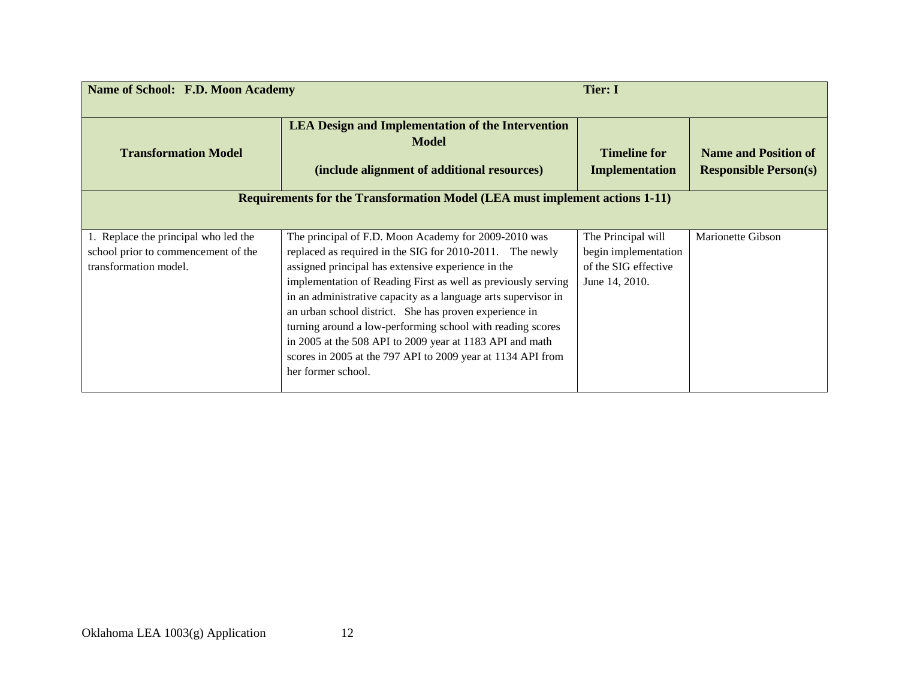| <b>Name of School: F.D. Moon Academy</b>                                                             |                                                                                                                                                                                                                                                                                                                                                                                                                                                                                                                                                                                    | <b>Tier: I</b>                                                                       |                                                             |
|------------------------------------------------------------------------------------------------------|------------------------------------------------------------------------------------------------------------------------------------------------------------------------------------------------------------------------------------------------------------------------------------------------------------------------------------------------------------------------------------------------------------------------------------------------------------------------------------------------------------------------------------------------------------------------------------|--------------------------------------------------------------------------------------|-------------------------------------------------------------|
| <b>Transformation Model</b>                                                                          | <b>LEA Design and Implementation of the Intervention</b><br><b>Model</b><br>(include alignment of additional resources)                                                                                                                                                                                                                                                                                                                                                                                                                                                            | <b>Timeline for</b><br><b>Implementation</b>                                         | <b>Name and Position of</b><br><b>Responsible Person(s)</b> |
|                                                                                                      | <b>Requirements for the Transformation Model (LEA must implement actions 1-11)</b>                                                                                                                                                                                                                                                                                                                                                                                                                                                                                                 |                                                                                      |                                                             |
| 1. Replace the principal who led the<br>school prior to commencement of the<br>transformation model. | The principal of F.D. Moon Academy for 2009-2010 was<br>replaced as required in the SIG for 2010-2011. The newly<br>assigned principal has extensive experience in the<br>implementation of Reading First as well as previously serving<br>in an administrative capacity as a language arts supervisor in<br>an urban school district. She has proven experience in<br>turning around a low-performing school with reading scores<br>in 2005 at the 508 API to 2009 year at 1183 API and math<br>scores in 2005 at the 797 API to 2009 year at 1134 API from<br>her former school. | The Principal will<br>begin implementation<br>of the SIG effective<br>June 14, 2010. | Marionette Gibson                                           |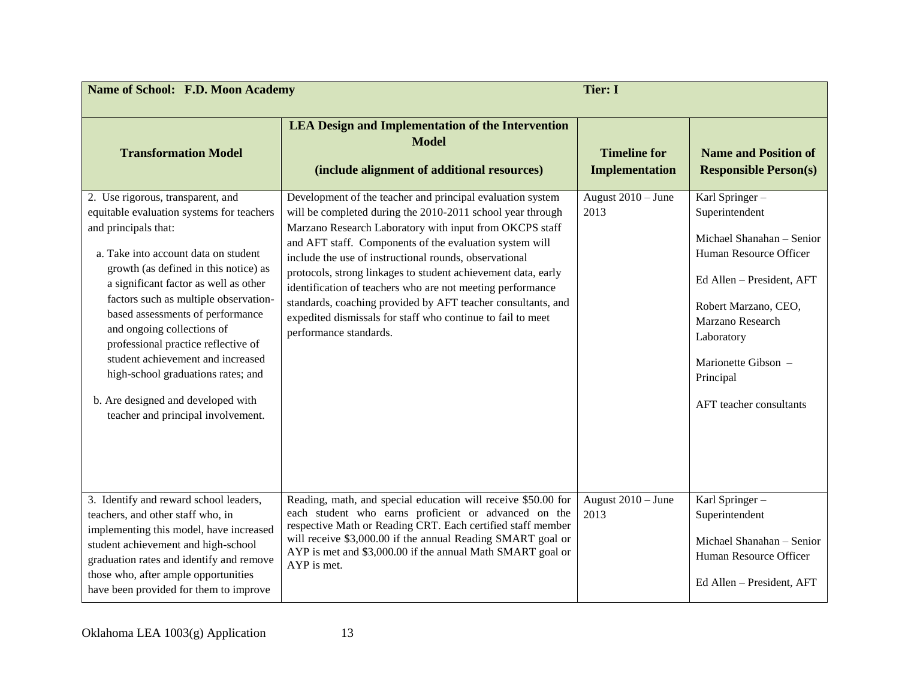| <b>Name of School: F.D. Moon Academy</b>                                                                                                                                                                                                                                                                                                                                                                                                                                                                                                  |                                                                                                                                                                                                                                                                                                                                                                                                                                                                                                                                                                                                  | <b>Tier: I</b>                               |                                                                                                                                                                                                                                               |
|-------------------------------------------------------------------------------------------------------------------------------------------------------------------------------------------------------------------------------------------------------------------------------------------------------------------------------------------------------------------------------------------------------------------------------------------------------------------------------------------------------------------------------------------|--------------------------------------------------------------------------------------------------------------------------------------------------------------------------------------------------------------------------------------------------------------------------------------------------------------------------------------------------------------------------------------------------------------------------------------------------------------------------------------------------------------------------------------------------------------------------------------------------|----------------------------------------------|-----------------------------------------------------------------------------------------------------------------------------------------------------------------------------------------------------------------------------------------------|
| <b>Transformation Model</b>                                                                                                                                                                                                                                                                                                                                                                                                                                                                                                               | <b>LEA Design and Implementation of the Intervention</b><br><b>Model</b><br>(include alignment of additional resources)                                                                                                                                                                                                                                                                                                                                                                                                                                                                          | <b>Timeline for</b><br><b>Implementation</b> | <b>Name and Position of</b><br><b>Responsible Person(s)</b>                                                                                                                                                                                   |
| 2. Use rigorous, transparent, and<br>equitable evaluation systems for teachers<br>and principals that:<br>a. Take into account data on student<br>growth (as defined in this notice) as<br>a significant factor as well as other<br>factors such as multiple observation-<br>based assessments of performance<br>and ongoing collections of<br>professional practice reflective of<br>student achievement and increased<br>high-school graduations rates; and<br>b. Are designed and developed with<br>teacher and principal involvement. | Development of the teacher and principal evaluation system<br>will be completed during the 2010-2011 school year through<br>Marzano Research Laboratory with input from OKCPS staff<br>and AFT staff. Components of the evaluation system will<br>include the use of instructional rounds, observational<br>protocols, strong linkages to student achievement data, early<br>identification of teachers who are not meeting performance<br>standards, coaching provided by AFT teacher consultants, and<br>expedited dismissals for staff who continue to fail to meet<br>performance standards. | August 2010 - June<br>2013                   | Karl Springer-<br>Superintendent<br>Michael Shanahan - Senior<br>Human Resource Officer<br>Ed Allen - President, AFT<br>Robert Marzano, CEO,<br>Marzano Research<br>Laboratory<br>Marionette Gibson -<br>Principal<br>AFT teacher consultants |
| 3. Identify and reward school leaders,<br>teachers, and other staff who, in<br>implementing this model, have increased<br>student achievement and high-school<br>graduation rates and identify and remove<br>those who, after ample opportunities<br>have been provided for them to improve                                                                                                                                                                                                                                               | Reading, math, and special education will receive \$50.00 for<br>each student who earns proficient or advanced on the<br>respective Math or Reading CRT. Each certified staff member<br>will receive \$3,000.00 if the annual Reading SMART goal or<br>AYP is met and \$3,000.00 if the annual Math SMART goal or<br>AYP is met.                                                                                                                                                                                                                                                                 | August $2010 -$ June<br>2013                 | Karl Springer-<br>Superintendent<br>Michael Shanahan - Senior<br>Human Resource Officer<br>Ed Allen - President, AFT                                                                                                                          |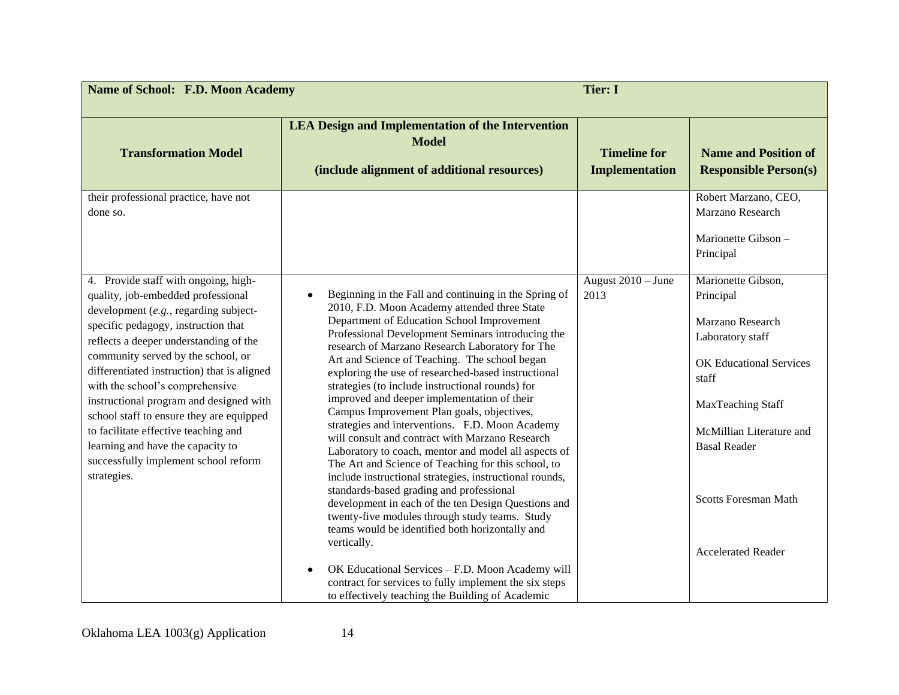| <b>Name of School: F.D. Moon Academy</b>                                                                                                                                                                                                                                                                                                                                                                                                                                                                                                                |                                                                                                                                                                                                                                                                                                                                                                                                                                                                                                                                                                                                                                                                                                                                                                                                                                                                                                                                                                                                                                          | <b>Tier: I</b>                               |                                                                                                                                                                                                                           |
|---------------------------------------------------------------------------------------------------------------------------------------------------------------------------------------------------------------------------------------------------------------------------------------------------------------------------------------------------------------------------------------------------------------------------------------------------------------------------------------------------------------------------------------------------------|------------------------------------------------------------------------------------------------------------------------------------------------------------------------------------------------------------------------------------------------------------------------------------------------------------------------------------------------------------------------------------------------------------------------------------------------------------------------------------------------------------------------------------------------------------------------------------------------------------------------------------------------------------------------------------------------------------------------------------------------------------------------------------------------------------------------------------------------------------------------------------------------------------------------------------------------------------------------------------------------------------------------------------------|----------------------------------------------|---------------------------------------------------------------------------------------------------------------------------------------------------------------------------------------------------------------------------|
| <b>Transformation Model</b><br>their professional practice, have not<br>done so.                                                                                                                                                                                                                                                                                                                                                                                                                                                                        | <b>LEA Design and Implementation of the Intervention</b><br><b>Model</b><br>(include alignment of additional resources)                                                                                                                                                                                                                                                                                                                                                                                                                                                                                                                                                                                                                                                                                                                                                                                                                                                                                                                  | <b>Timeline for</b><br><b>Implementation</b> | <b>Name and Position of</b><br><b>Responsible Person(s)</b><br>Robert Marzano, CEO,<br>Marzano Research<br>Marionette Gibson -                                                                                            |
|                                                                                                                                                                                                                                                                                                                                                                                                                                                                                                                                                         |                                                                                                                                                                                                                                                                                                                                                                                                                                                                                                                                                                                                                                                                                                                                                                                                                                                                                                                                                                                                                                          |                                              | Principal                                                                                                                                                                                                                 |
| 4. Provide staff with ongoing, high-<br>quality, job-embedded professional<br>development (e.g., regarding subject-<br>specific pedagogy, instruction that<br>reflects a deeper understanding of the<br>community served by the school, or<br>differentiated instruction) that is aligned<br>with the school's comprehensive<br>instructional program and designed with<br>school staff to ensure they are equipped<br>to facilitate effective teaching and<br>learning and have the capacity to<br>successfully implement school reform<br>strategies. | Beginning in the Fall and continuing in the Spring of<br>$\bullet$<br>2010, F.D. Moon Academy attended three State<br>Department of Education School Improvement<br>Professional Development Seminars introducing the<br>research of Marzano Research Laboratory for The<br>Art and Science of Teaching. The school began<br>exploring the use of researched-based instructional<br>strategies (to include instructional rounds) for<br>improved and deeper implementation of their<br>Campus Improvement Plan goals, objectives,<br>strategies and interventions. F.D. Moon Academy<br>will consult and contract with Marzano Research<br>Laboratory to coach, mentor and model all aspects of<br>The Art and Science of Teaching for this school, to<br>include instructional strategies, instructional rounds,<br>standards-based grading and professional<br>development in each of the ten Design Questions and<br>twenty-five modules through study teams. Study<br>teams would be identified both horizontally and<br>vertically. | August $2010 -$ June<br>2013                 | Marionette Gibson,<br>Principal<br>Marzano Research<br>Laboratory staff<br><b>OK Educational Services</b><br>staff<br>MaxTeaching Staff<br>McMillian Literature and<br><b>Basal Reader</b><br><b>Scotts Foresman Math</b> |
|                                                                                                                                                                                                                                                                                                                                                                                                                                                                                                                                                         | OK Educational Services - F.D. Moon Academy will<br>contract for services to fully implement the six steps<br>to effectively teaching the Building of Academic                                                                                                                                                                                                                                                                                                                                                                                                                                                                                                                                                                                                                                                                                                                                                                                                                                                                           |                                              | <b>Accelerated Reader</b>                                                                                                                                                                                                 |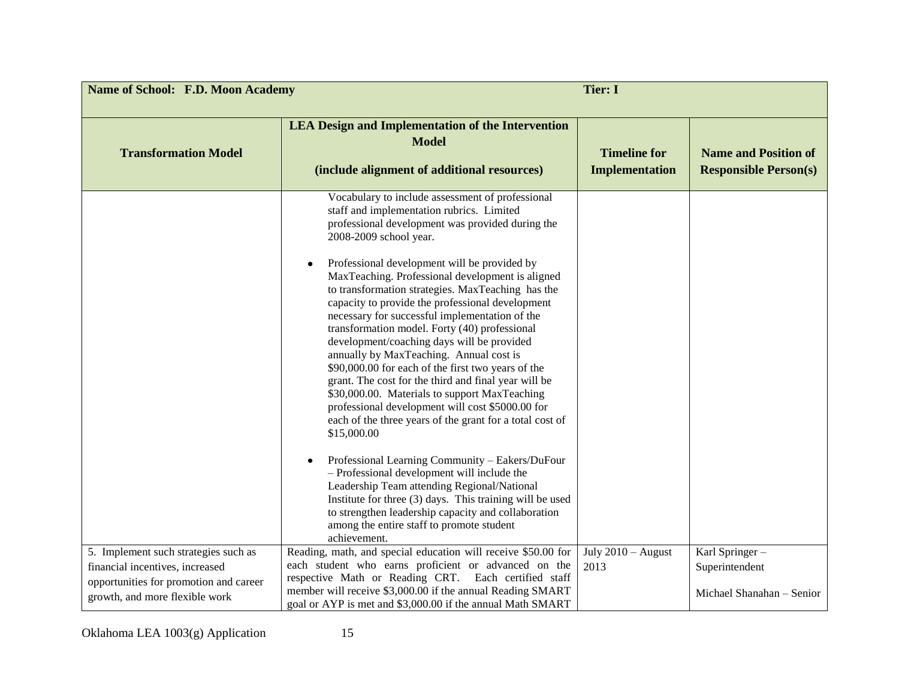| <b>Name of School: F.D. Moon Academy</b><br><b>Tier: I</b>               |                                                                                                                                                                                                                                                                                                                                                                                                                                                                                                                                                                                                                                                                                                                                                                                                                                                                                                                                                                                                                                                                                                                                                                                                                     |                                              |                                                             |
|--------------------------------------------------------------------------|---------------------------------------------------------------------------------------------------------------------------------------------------------------------------------------------------------------------------------------------------------------------------------------------------------------------------------------------------------------------------------------------------------------------------------------------------------------------------------------------------------------------------------------------------------------------------------------------------------------------------------------------------------------------------------------------------------------------------------------------------------------------------------------------------------------------------------------------------------------------------------------------------------------------------------------------------------------------------------------------------------------------------------------------------------------------------------------------------------------------------------------------------------------------------------------------------------------------|----------------------------------------------|-------------------------------------------------------------|
| <b>Transformation Model</b>                                              | <b>LEA Design and Implementation of the Intervention</b><br><b>Model</b><br>(include alignment of additional resources)                                                                                                                                                                                                                                                                                                                                                                                                                                                                                                                                                                                                                                                                                                                                                                                                                                                                                                                                                                                                                                                                                             | <b>Timeline for</b><br><b>Implementation</b> | <b>Name and Position of</b><br><b>Responsible Person(s)</b> |
|                                                                          | Vocabulary to include assessment of professional<br>staff and implementation rubrics. Limited<br>professional development was provided during the<br>2008-2009 school year.<br>Professional development will be provided by<br>MaxTeaching. Professional development is aligned<br>to transformation strategies. MaxTeaching has the<br>capacity to provide the professional development<br>necessary for successful implementation of the<br>transformation model. Forty (40) professional<br>development/coaching days will be provided<br>annually by MaxTeaching. Annual cost is<br>\$90,000.00 for each of the first two years of the<br>grant. The cost for the third and final year will be<br>\$30,000.00. Materials to support MaxTeaching<br>professional development will cost \$5000.00 for<br>each of the three years of the grant for a total cost of<br>\$15,000.00<br>Professional Learning Community - Eakers/DuFour<br>- Professional development will include the<br>Leadership Team attending Regional/National<br>Institute for three (3) days. This training will be used<br>to strengthen leadership capacity and collaboration<br>among the entire staff to promote student<br>achievement. |                                              |                                                             |
| 5. Implement such strategies such as<br>financial incentives, increased  | Reading, math, and special education will receive \$50.00 for<br>each student who earns proficient or advanced on the                                                                                                                                                                                                                                                                                                                                                                                                                                                                                                                                                                                                                                                                                                                                                                                                                                                                                                                                                                                                                                                                                               | July $2010 -$ August<br>2013                 | Karl Springer-<br>Superintendent                            |
| opportunities for promotion and career<br>growth, and more flexible work | respective Math or Reading CRT. Each certified staff<br>member will receive \$3,000.00 if the annual Reading SMART<br>goal or AYP is met and \$3,000.00 if the annual Math SMART                                                                                                                                                                                                                                                                                                                                                                                                                                                                                                                                                                                                                                                                                                                                                                                                                                                                                                                                                                                                                                    |                                              | Michael Shanahan - Senior                                   |

Oklahoma LEA 1003(g) Application 15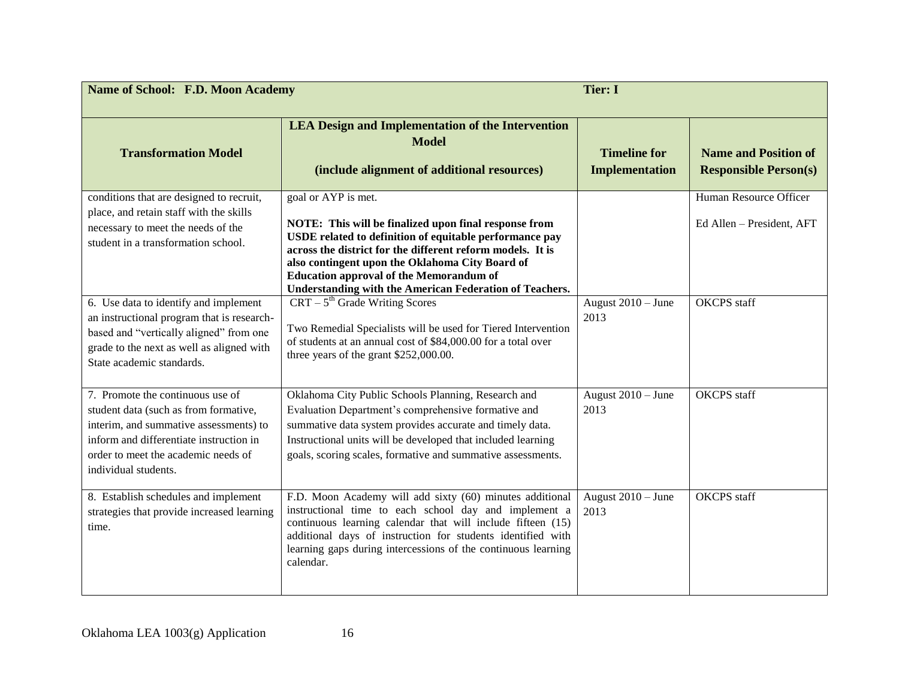| <b>Name of School: F.D. Moon Academy</b>                                                                                                                                                                                      | <b>Tier: I</b>                                                                                                                                                                                                                                                                                                                                                               |                                              |                                                             |
|-------------------------------------------------------------------------------------------------------------------------------------------------------------------------------------------------------------------------------|------------------------------------------------------------------------------------------------------------------------------------------------------------------------------------------------------------------------------------------------------------------------------------------------------------------------------------------------------------------------------|----------------------------------------------|-------------------------------------------------------------|
| <b>Transformation Model</b>                                                                                                                                                                                                   | <b>LEA Design and Implementation of the Intervention</b><br><b>Model</b><br>(include alignment of additional resources)                                                                                                                                                                                                                                                      | <b>Timeline for</b><br><b>Implementation</b> | <b>Name and Position of</b><br><b>Responsible Person(s)</b> |
| conditions that are designed to recruit,<br>place, and retain staff with the skills<br>necessary to meet the needs of the<br>student in a transformation school.                                                              | goal or AYP is met.<br>NOTE: This will be finalized upon final response from<br>USDE related to definition of equitable performance pay<br>across the district for the different reform models. It is<br>also contingent upon the Oklahoma City Board of<br><b>Education approval of the Memorandum of</b><br><b>Understanding with the American Federation of Teachers.</b> |                                              | Human Resource Officer<br>Ed Allen - President, AFT         |
| 6. Use data to identify and implement<br>an instructional program that is research-<br>based and "vertically aligned" from one<br>grade to the next as well as aligned with<br>State academic standards.                      | $CRT - 5th Grade Writing Scores$<br>Two Remedial Specialists will be used for Tiered Intervention<br>of students at an annual cost of \$84,000.00 for a total over<br>three years of the grant \$252,000.00.                                                                                                                                                                 | August $2010 -$ June<br>2013                 | <b>OKCPS</b> staff                                          |
| 7. Promote the continuous use of<br>student data (such as from formative,<br>interim, and summative assessments) to<br>inform and differentiate instruction in<br>order to meet the academic needs of<br>individual students. | Oklahoma City Public Schools Planning, Research and<br>Evaluation Department's comprehensive formative and<br>summative data system provides accurate and timely data.<br>Instructional units will be developed that included learning<br>goals, scoring scales, formative and summative assessments.                                                                        | August $2010 -$ June<br>2013                 | <b>OKCPS</b> staff                                          |
| 8. Establish schedules and implement<br>strategies that provide increased learning<br>time.                                                                                                                                   | F.D. Moon Academy will add sixty (60) minutes additional<br>instructional time to each school day and implement a<br>continuous learning calendar that will include fifteen (15)<br>additional days of instruction for students identified with<br>learning gaps during intercessions of the continuous learning<br>calendar.                                                | August $2010 -$ June<br>2013                 | <b>OKCPS</b> staff                                          |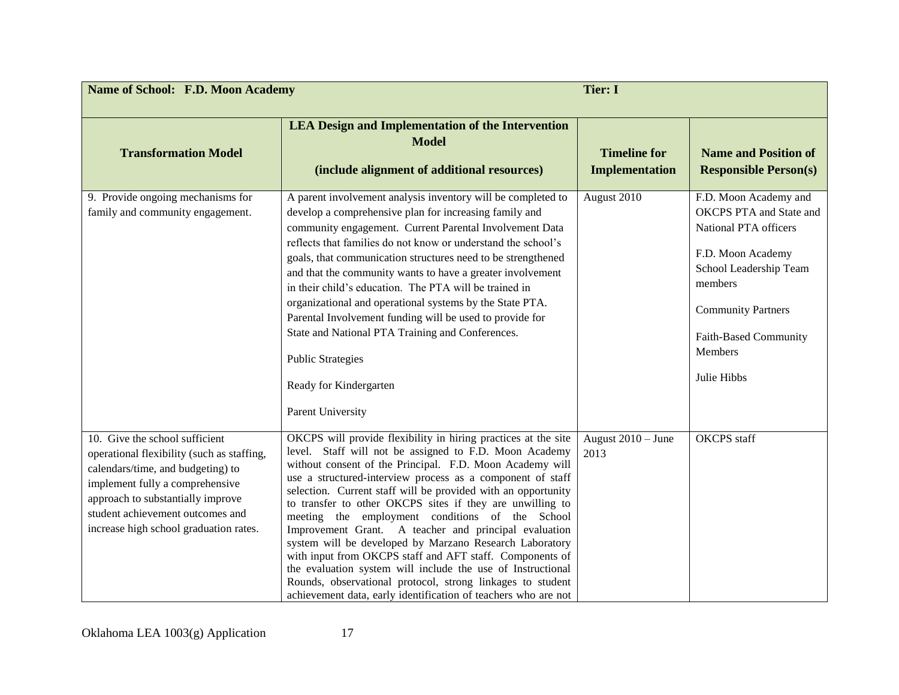| <b>Name of School: F.D. Moon Academy</b>                                                                                                                                                                                                                                | <b>Tier: I</b>                                                                                                                                                                                                                                                                                                                                                                                                                                                                                                                                                                                                                                                                                                                                                                                                     |                                              |                                                                                                                                                                                                                                   |
|-------------------------------------------------------------------------------------------------------------------------------------------------------------------------------------------------------------------------------------------------------------------------|--------------------------------------------------------------------------------------------------------------------------------------------------------------------------------------------------------------------------------------------------------------------------------------------------------------------------------------------------------------------------------------------------------------------------------------------------------------------------------------------------------------------------------------------------------------------------------------------------------------------------------------------------------------------------------------------------------------------------------------------------------------------------------------------------------------------|----------------------------------------------|-----------------------------------------------------------------------------------------------------------------------------------------------------------------------------------------------------------------------------------|
| <b>Transformation Model</b>                                                                                                                                                                                                                                             | <b>LEA Design and Implementation of the Intervention</b><br><b>Model</b><br>(include alignment of additional resources)                                                                                                                                                                                                                                                                                                                                                                                                                                                                                                                                                                                                                                                                                            | <b>Timeline for</b><br><b>Implementation</b> | <b>Name and Position of</b><br><b>Responsible Person(s)</b>                                                                                                                                                                       |
| 9. Provide ongoing mechanisms for<br>family and community engagement.                                                                                                                                                                                                   | A parent involvement analysis inventory will be completed to<br>develop a comprehensive plan for increasing family and<br>community engagement. Current Parental Involvement Data<br>reflects that families do not know or understand the school's<br>goals, that communication structures need to be strengthened<br>and that the community wants to have a greater involvement<br>in their child's education. The PTA will be trained in<br>organizational and operational systems by the State PTA.<br>Parental Involvement funding will be used to provide for<br>State and National PTA Training and Conferences.<br><b>Public Strategies</b><br>Ready for Kindergarten<br>Parent University                                                                                                                  | August 2010                                  | F.D. Moon Academy and<br><b>OKCPS PTA and State and</b><br>National PTA officers<br>F.D. Moon Academy<br>School Leadership Team<br>members<br><b>Community Partners</b><br>Faith-Based Community<br><b>Members</b><br>Julie Hibbs |
| 10. Give the school sufficient<br>operational flexibility (such as staffing,<br>calendars/time, and budgeting) to<br>implement fully a comprehensive<br>approach to substantially improve<br>student achievement outcomes and<br>increase high school graduation rates. | OKCPS will provide flexibility in hiring practices at the site<br>level. Staff will not be assigned to F.D. Moon Academy<br>without consent of the Principal. F.D. Moon Academy will<br>use a structured-interview process as a component of staff<br>selection. Current staff will be provided with an opportunity<br>to transfer to other OKCPS sites if they are unwilling to<br>meeting the employment conditions of the School<br>Improvement Grant. A teacher and principal evaluation<br>system will be developed by Marzano Research Laboratory<br>with input from OKCPS staff and AFT staff. Components of<br>the evaluation system will include the use of Instructional<br>Rounds, observational protocol, strong linkages to student<br>achievement data, early identification of teachers who are not | August 2010 - June<br>2013                   | <b>OKCPS</b> staff                                                                                                                                                                                                                |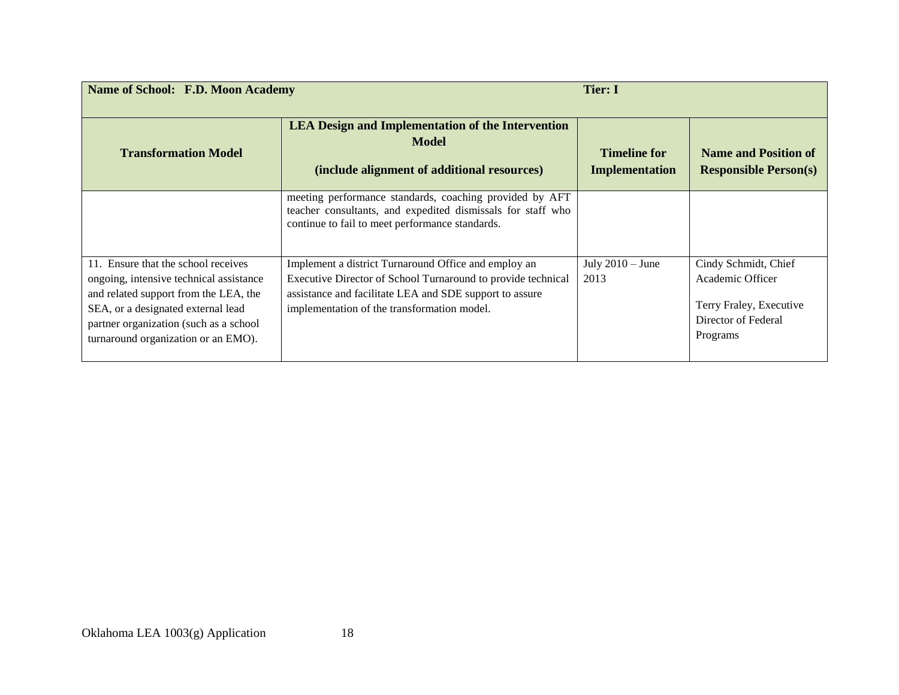| <b>Name of School: F.D. Moon Academy</b>                                                                                                                                                                                                       |                                                                                                                                                                                                                                | Tier: I                               |                                                                                                        |
|------------------------------------------------------------------------------------------------------------------------------------------------------------------------------------------------------------------------------------------------|--------------------------------------------------------------------------------------------------------------------------------------------------------------------------------------------------------------------------------|---------------------------------------|--------------------------------------------------------------------------------------------------------|
| <b>Transformation Model</b>                                                                                                                                                                                                                    | <b>LEA Design and Implementation of the Intervention</b><br><b>Model</b><br>(include alignment of additional resources)                                                                                                        | <b>Timeline for</b><br>Implementation | <b>Name and Position of</b><br><b>Responsible Person(s)</b>                                            |
|                                                                                                                                                                                                                                                | meeting performance standards, coaching provided by AFT<br>teacher consultants, and expedited dismissals for staff who<br>continue to fail to meet performance standards.                                                      |                                       |                                                                                                        |
| 11. Ensure that the school receives<br>ongoing, intensive technical assistance<br>and related support from the LEA, the<br>SEA, or a designated external lead<br>partner organization (such as a school<br>turnaround organization or an EMO). | Implement a district Turnaround Office and employ an<br>Executive Director of School Turnaround to provide technical<br>assistance and facilitate LEA and SDE support to assure<br>implementation of the transformation model. | July $2010 -$ June<br>2013            | Cindy Schmidt, Chief<br>Academic Officer<br>Terry Fraley, Executive<br>Director of Federal<br>Programs |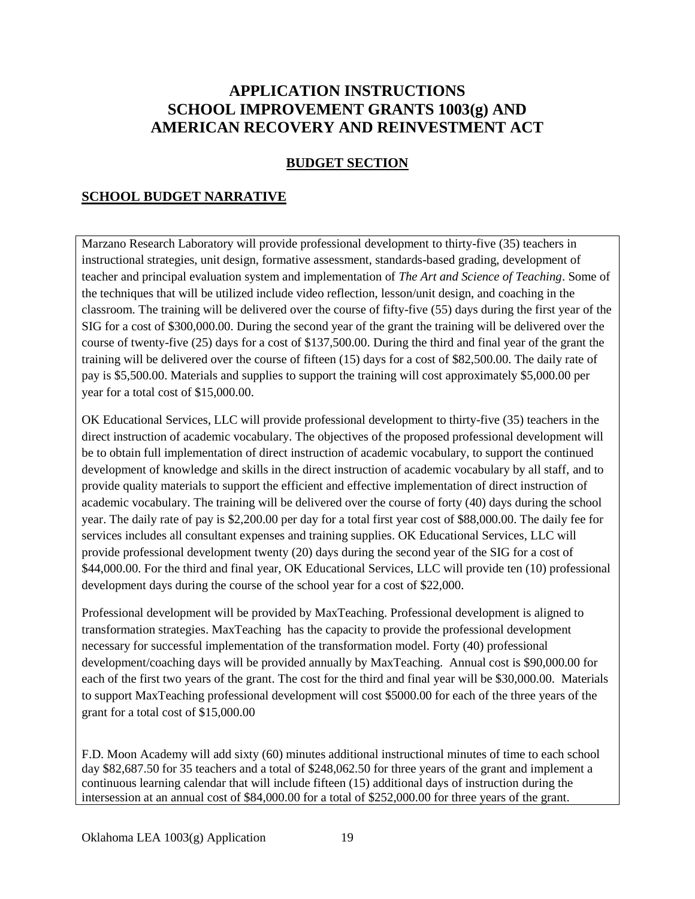# **APPLICATION INSTRUCTIONS SCHOOL IMPROVEMENT GRANTS 1003(g) AND AMERICAN RECOVERY AND REINVESTMENT ACT**

#### **BUDGET SECTION**

#### **SCHOOL BUDGET NARRATIVE**

Marzano Research Laboratory will provide professional development to thirty-five (35) teachers in instructional strategies, unit design, formative assessment, standards-based grading, development of teacher and principal evaluation system and implementation of *The Art and Science of Teaching*. Some of the techniques that will be utilized include video reflection, lesson/unit design, and coaching in the classroom. The training will be delivered over the course of fifty-five (55) days during the first year of the SIG for a cost of \$300,000.00. During the second year of the grant the training will be delivered over the course of twenty-five (25) days for a cost of \$137,500.00. During the third and final year of the grant the training will be delivered over the course of fifteen (15) days for a cost of \$82,500.00. The daily rate of pay is \$5,500.00. Materials and supplies to support the training will cost approximately \$5,000.00 per year for a total cost of \$15,000.00.

OK Educational Services, LLC will provide professional development to thirty-five (35) teachers in the direct instruction of academic vocabulary. The objectives of the proposed professional development will be to obtain full implementation of direct instruction of academic vocabulary, to support the continued development of knowledge and skills in the direct instruction of academic vocabulary by all staff, and to provide quality materials to support the efficient and effective implementation of direct instruction of academic vocabulary. The training will be delivered over the course of forty (40) days during the school year. The daily rate of pay is \$2,200.00 per day for a total first year cost of \$88,000.00. The daily fee for services includes all consultant expenses and training supplies. OK Educational Services, LLC will provide professional development twenty (20) days during the second year of the SIG for a cost of \$44,000.00. For the third and final year, OK Educational Services, LLC will provide ten (10) professional development days during the course of the school year for a cost of \$22,000.

Professional development will be provided by MaxTeaching. Professional development is aligned to transformation strategies. MaxTeaching has the capacity to provide the professional development necessary for successful implementation of the transformation model. Forty (40) professional development/coaching days will be provided annually by MaxTeaching. Annual cost is \$90,000.00 for each of the first two years of the grant. The cost for the third and final year will be \$30,000.00. Materials to support MaxTeaching professional development will cost \$5000.00 for each of the three years of the grant for a total cost of \$15,000.00

F.D. Moon Academy will add sixty (60) minutes additional instructional minutes of time to each school day \$82,687.50 for 35 teachers and a total of \$248,062.50 for three years of the grant and implement a continuous learning calendar that will include fifteen (15) additional days of instruction during the intersession at an annual cost of \$84,000.00 for a total of \$252,000.00 for three years of the grant.